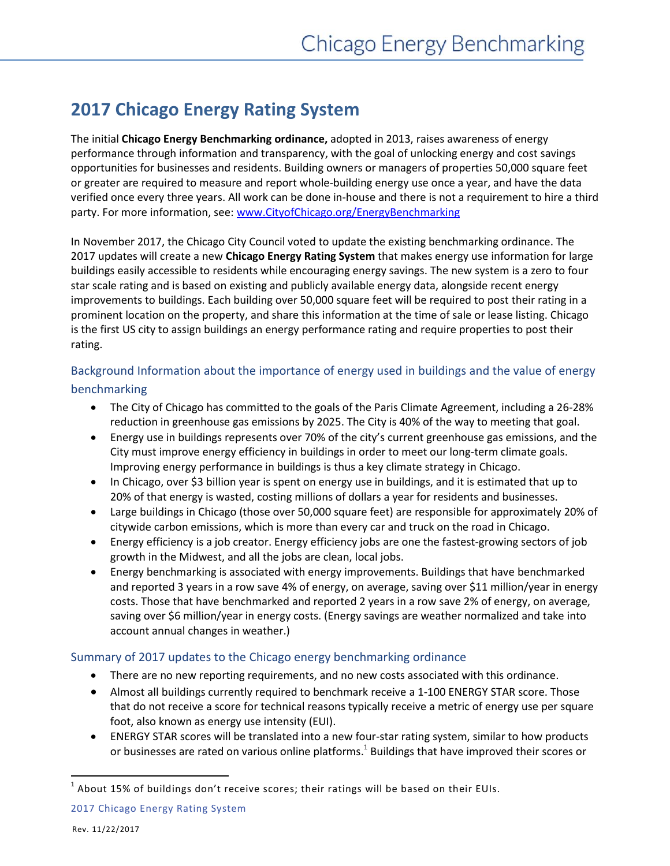# **2017 Chicago Energy Rating System**

The initial **Chicago Energy Benchmarking ordinance,** adopted in 2013, raises awareness of energy performance through information and transparency, with the goal of unlocking energy and cost savings opportunities for businesses and residents. Building owners or managers of properties 50,000 square feet or greater are required to measure and report whole-building energy use once a year, and have the data verified once every three years. All work can be done in-house and there is not a requirement to hire a third party. For more information, see: [www.CityofChicago.org/EnergyBenchmarking](http://www.cityofchicago.org/EnergyBenchmarking)

In November 2017, the Chicago City Council voted to update the existing benchmarking ordinance. The 2017 updates will create a new **Chicago Energy Rating System** that makes energy use information for large buildings easily accessible to residents while encouraging energy savings. The new system is a zero to four star scale rating and is based on existing and publicly available energy data, alongside recent energy improvements to buildings. Each building over 50,000 square feet will be required to post their rating in a prominent location on the property, and share this information at the time of sale or lease listing. Chicago is the first US city to assign buildings an energy performance rating and require properties to post their rating.

### Background Information about the importance of energy used in buildings and the value of energy

#### benchmarking

- The City of Chicago has committed to the goals of the Paris Climate Agreement, including a 26-28% reduction in greenhouse gas emissions by 2025. The City is 40% of the way to meeting that goal.
- Energy use in buildings represents over 70% of the city's current greenhouse gas emissions, and the City must improve energy efficiency in buildings in order to meet our long-term climate goals. Improving energy performance in buildings is thus a key climate strategy in Chicago.
- In Chicago, over \$3 billion year is spent on energy use in buildings, and it is estimated that up to 20% of that energy is wasted, costing millions of dollars a year for residents and businesses.
- Large buildings in Chicago (those over 50,000 square feet) are responsible for approximately 20% of citywide carbon emissions, which is more than every car and truck on the road in Chicago.
- Energy efficiency is a job creator. Energy efficiency jobs are one the fastest-growing sectors of job growth in the Midwest, and all the jobs are clean, local jobs.
- Energy benchmarking is associated with energy improvements. Buildings that have benchmarked and reported 3 years in a row save 4% of energy, on average, saving over \$11 million/year in energy costs. Those that have benchmarked and reported 2 years in a row save 2% of energy, on average, saving over \$6 million/year in energy costs. (Energy savings are weather normalized and take into account annual changes in weather.)

## Summary of 2017 updates to the Chicago energy benchmarking ordinance

- There are no new reporting requirements, and no new costs associated with this ordinance.
- Almost all buildings currently required to benchmark receive a 1-100 ENERGY STAR score. Those that do not receive a score for technical reasons typically receive a metric of energy use per square foot, also known as energy use intensity (EUI).
- ENERGY STAR scores will be translated into a new four-star rating system, similar to how products or businesses are rated on various online platforms.<sup>1</sup> Buildings that have improved their scores or

 $\overline{a}$ 

 $^1$  About 15% of buildings don't receive scores; their ratings will be based on their EUIs.